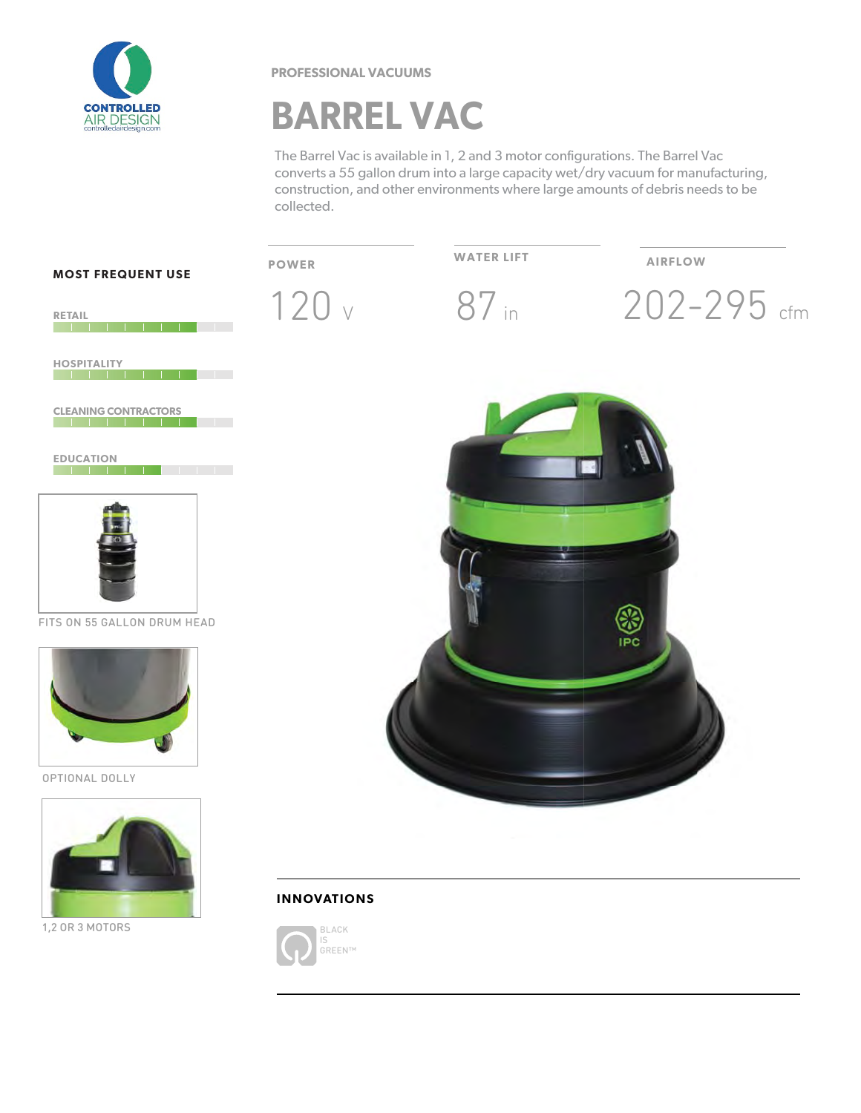

**PROFESSIONAL VACUUMS** 

## **BARREL VAC**

The Barrel Vac is available in 1, 2 and 3 motor configurations. The Barrel Vac converts a 55 gallon drum into a large capacity wet/dry vacuum for manufacturing, construction, and other environments where large amounts of debris needs to be collected.



**BI ACK**  $\overline{S}$ .U<br>GREEN™

1,2 OR 3 MOTORS